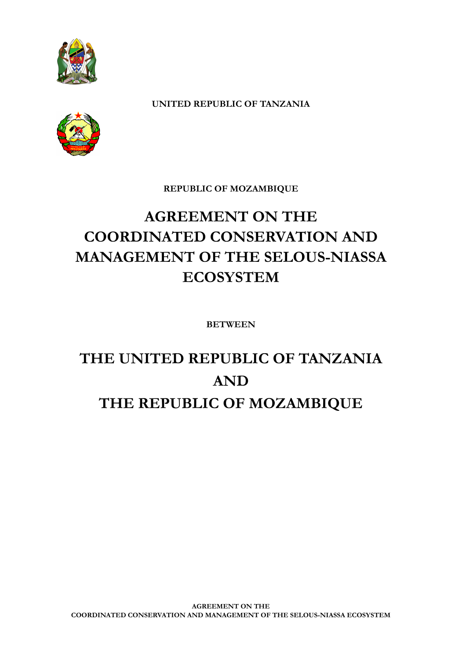

**UNITED REPUBLIC OF TANZANIA**

**REPUBLIC OF MOZAMBIQUE**

# **AGREEMENT ON THE COORDINATED CONSERVATION AND MANAGEMENT OF THE SELOUS-NIASSA ECOSYSTEM**

**BETWEEN**

# **THE UNITED REPUBLIC OF TANZANIA AND THE REPUBLIC OF MOZAMBIQUE**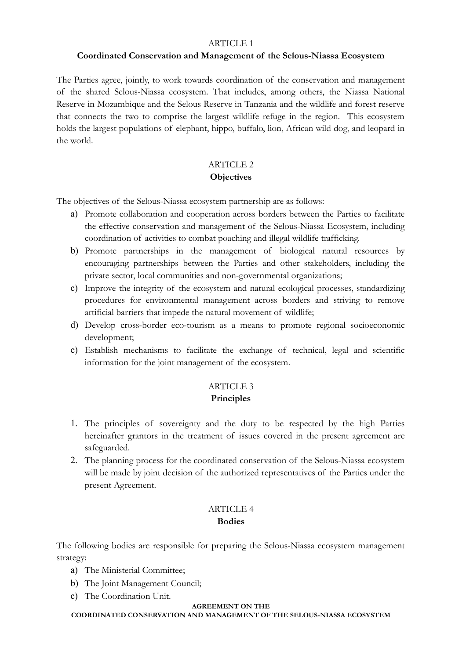#### ARTICLE 1

#### **Coordinated Conservation and Management of the Selous-Niassa Ecosystem**

The Parties agree, jointly, to work towards coordination of the conservation and management of the shared Selous-Niassa ecosystem. That includes, among others, the Niassa National Reserve in Mozambique and the Selous Reserve in Tanzania and the wildlife and forest reserve that connects the two to comprise the largest wildlife refuge in the region. This ecosystem holds the largest populations of elephant, hippo, buffalo, lion, African wild dog, and leopard in the world.

#### ARTICLE 2 **Objectives**

The objectives of the Selous-Niassa ecosystem partnership are as follows:

- a) Promote collaboration and cooperation across borders between the Parties to facilitate the effective conservation and management of the Selous-Niassa Ecosystem, including coordination of activities to combat poaching and illegal wildlife trafficking.
- b) Promote partnerships in the management of biological natural resources by encouraging partnerships between the Parties and other stakeholders, including the private sector, local communities and non-governmental organizations;
- c) Improve the integrity of the ecosystem and natural ecological processes, standardizing procedures for environmental management across borders and striving to remove artificial barriers that impede the natural movement of wildlife;
- d) Develop cross-border eco-tourism as a means to promote regional socioeconomic development;
- e) Establish mechanisms to facilitate the exchange of technical, legal and scientific information for the joint management of the ecosystem.

## ARTICLE 3 **Principles**

- 1. The principles of sovereignty and the duty to be respected by the high Parties hereinafter grantors in the treatment of issues covered in the present agreement are safeguarded.
- 2. The planning process for the coordinated conservation of the Selous-Niassa ecosystem will be made by joint decision of the authorized representatives of the Parties under the present Agreement.

#### ARTICLE 4 **Bodies**

The following bodies are responsible for preparing the Selous-Niassa ecosystem management strategy:

- a) The Ministerial Committee;
- b) The Joint Management Council;
- c) The Coordination Unit.

#### **AGREEMENT ON THE**

**COORDINATED CONSERVATION AND MANAGEMENT OF THE SELOUS-NIASSA ECOSYSTEM**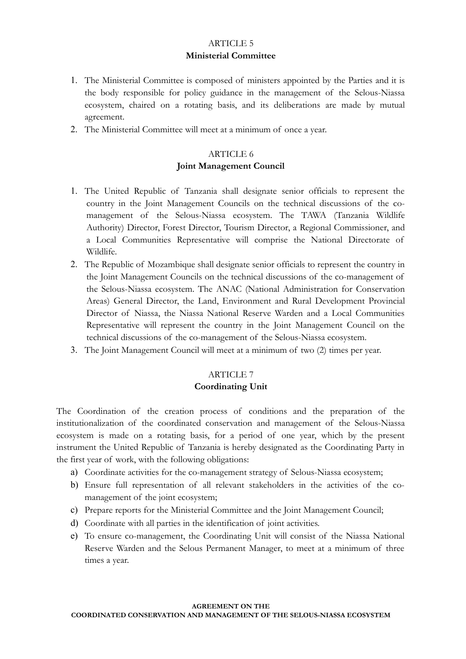# ARTICLE 5 **Ministerial Committee**

- 1. The Ministerial Committee is composed of ministers appointed by the Parties and it is the body responsible for policy guidance in the management of the Selous-Niassa ecosystem, chaired on a rotating basis, and its deliberations are made by mutual agreement.
- 2. The Ministerial Committee will meet at a minimum of once a year.

# ARTICLE 6 **Joint Management Council**

- 1. The United Republic of Tanzania shall designate senior officials to represent the country in the Joint Management Councils on the technical discussions of the comanagement of the Selous-Niassa ecosystem. The TAWA (Tanzania Wildlife Authority) Director, Forest Director, Tourism Director, a Regional Commissioner, and a Local Communities Representative will comprise the National Directorate of Wildlife.
- 2. The Republic of Mozambique shall designate senior officials to represent the country in the Joint Management Councils on the technical discussions of the co-management of the Selous-Niassa ecosystem. The ANAC (National Administration for Conservation Areas) General Director, the Land, Environment and Rural Development Provincial Director of Niassa, the Niassa National Reserve Warden and a Local Communities Representative will represent the country in the Joint Management Council on the technical discussions of the co-management of the Selous-Niassa ecosystem.
- 3. The Joint Management Council will meet at a minimum of two (2) times per year.

## ARTICLE 7

#### **Coordinating Unit**

The Coordination of the creation process of conditions and the preparation of the institutionalization of the coordinated conservation and management of the Selous-Niassa ecosystem is made on a rotating basis, for a period of one year, which by the present instrument the United Republic of Tanzania is hereby designated as the Coordinating Party in the first year of work, with the following obligations:

- a) Coordinate activities for the co-management strategy of Selous-Niassa ecosystem;
- b) Ensure full representation of all relevant stakeholders in the activities of the comanagement of the joint ecosystem;
- c) Prepare reports for the Ministerial Committee and the Joint Management Council;
- d) Coordinate with all parties in the identification of joint activities.
- e) To ensure co-management, the Coordinating Unit will consist of the Niassa National Reserve Warden and the Selous Permanent Manager, to meet at a minimum of three times a year.

#### **AGREEMENT ON THE**